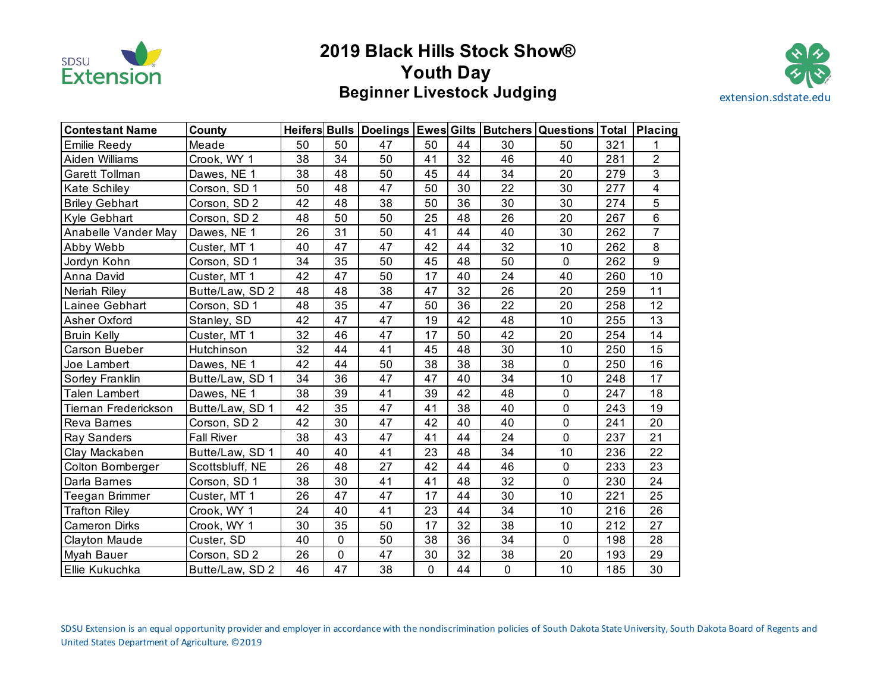

# **2019 Black Hills Stock Show® Youth Day Beginner Livestock Judging**  extension.sdstate.edu



| <b>Contestant Name</b> | County            |    |             |    |             |    |                 | Heifers Bulls   Doelings   Ewes Gilts   Butchers   Questions   Total   Placing |     |                |
|------------------------|-------------------|----|-------------|----|-------------|----|-----------------|--------------------------------------------------------------------------------|-----|----------------|
| Emilie Reedy           | Meade             | 50 | 50          | 47 | 50          | 44 | 30              | 50                                                                             | 321 | 1              |
| Aiden Williams         | Crook, WY 1       | 38 | 34          | 50 | 41          | 32 | 46              | 40                                                                             | 281 | $\overline{2}$ |
| Garett Tollman         | Dawes, NE 1       | 38 | 48          | 50 | 45          | 44 | 34              | 20                                                                             | 279 | $\overline{3}$ |
| Kate Schiley           | Corson, SD 1      | 50 | 48          | 47 | 50          | 30 | 22              | 30                                                                             | 277 | 4              |
| <b>Briley Gebhart</b>  | Corson, SD 2      | 42 | 48          | 38 | 50          | 36 | 30              | 30                                                                             | 274 | 5              |
| Kyle Gebhart           | Corson, SD 2      | 48 | 50          | 50 | 25          | 48 | 26              | 20                                                                             | 267 | $\,6\,$        |
| Anabelle Vander May    | Dawes, NE 1       | 26 | 31          | 50 | 41          | 44 | 40              | 30                                                                             | 262 | $\overline{7}$ |
| Abby Webb              | Custer, MT 1      | 40 | 47          | 47 | 42          | 44 | 32              | 10                                                                             | 262 | 8              |
| Jordyn Kohn            | Corson, SD 1      | 34 | 35          | 50 | 45          | 48 | 50              | $\mathbf 0$                                                                    | 262 | 9              |
| Anna David             | Custer, MT 1      | 42 | 47          | 50 | 17          | 40 | 24              | 40                                                                             | 260 | 10             |
| Neriah Riley           | Butte/Law, SD 2   | 48 | 48          | 38 | 47          | 32 | 26              | 20                                                                             | 259 | 11             |
| Lainee Gebhart         | Corson, SD 1      | 48 | 35          | 47 | 50          | 36 | 22              | 20                                                                             | 258 | 12             |
| Asher Oxford           | Stanley, SD       | 42 | 47          | 47 | 19          | 42 | 48              | 10                                                                             | 255 | 13             |
| <b>Bruin Kelly</b>     | Custer, MT 1      | 32 | 46          | 47 | 17          | 50 | 42              | 20                                                                             | 254 | 14             |
| Carson Bueber          | Hutchinson        | 32 | 44          | 41 | 45          | 48 | 30              | 10                                                                             | 250 | 15             |
| Joe Lambert            | Dawes, NE 1       | 42 | 44          | 50 | 38          | 38 | 38              | $\mathbf 0$                                                                    | 250 | 16             |
| Sorley Franklin        | Butte/Law, SD 1   | 34 | 36          | 47 | 47          | 40 | 34              | 10                                                                             | 248 | 17             |
| <b>Talen Lambert</b>   | Dawes, NE 1       | 38 | 39          | 41 | 39          | 42 | 48              | $\mathbf 0$                                                                    | 247 | 18             |
| Tiernan Frederickson   | Butte/Law, SD 1   | 42 | 35          | 47 | 41          | 38 | 40              | $\mathbf 0$                                                                    | 243 | 19             |
| Reva Barnes            | Corson, SD 2      | 42 | 30          | 47 | 42          | 40 | 40              | $\mathbf 0$                                                                    | 241 | 20             |
| Ray Sanders            | <b>Fall River</b> | 38 | 43          | 47 | 41          | 44 | 24              | $\overline{0}$                                                                 | 237 | 21             |
| Clay Mackaben          | Butte/Law, SD 1   | 40 | 40          | 41 | 23          | 48 | 34              | 10                                                                             | 236 | 22             |
| Colton Bomberger       | Scottsbluff, NE   | 26 | 48          | 27 | 42          | 44 | 46              | $\mathbf 0$                                                                    | 233 | 23             |
| Darla Barnes           | Corson, SD 1      | 38 | 30          | 41 | 41          | 48 | 32              | $\mathbf 0$                                                                    | 230 | 24             |
| Teegan Brimmer         | Custer, MT 1      | 26 | 47          | 47 | 17          | 44 | 30              | 10                                                                             | 221 | 25             |
| <b>Trafton Riley</b>   | Crook, WY 1       | 24 | 40          | 41 | 23          | 44 | 34              | 10                                                                             | 216 | 26             |
| <b>Cameron Dirks</b>   | Crook, WY 1       | 30 | 35          | 50 | 17          | 32 | $\overline{38}$ | 10                                                                             | 212 | 27             |
| <b>Clayton Maude</b>   | Custer, SD        | 40 | $\mathbf 0$ | 50 | 38          | 36 | 34              | $\mathbf 0$                                                                    | 198 | 28             |
| Myah Bauer             | Corson, SD 2      | 26 | $\pmb{0}$   | 47 | 30          | 32 | 38              | 20                                                                             | 193 | 29             |
| Ellie Kukuchka         | Butte/Law, SD 2   | 46 | 47          | 38 | $\mathbf 0$ | 44 | $\mathbf 0$     | 10                                                                             | 185 | 30             |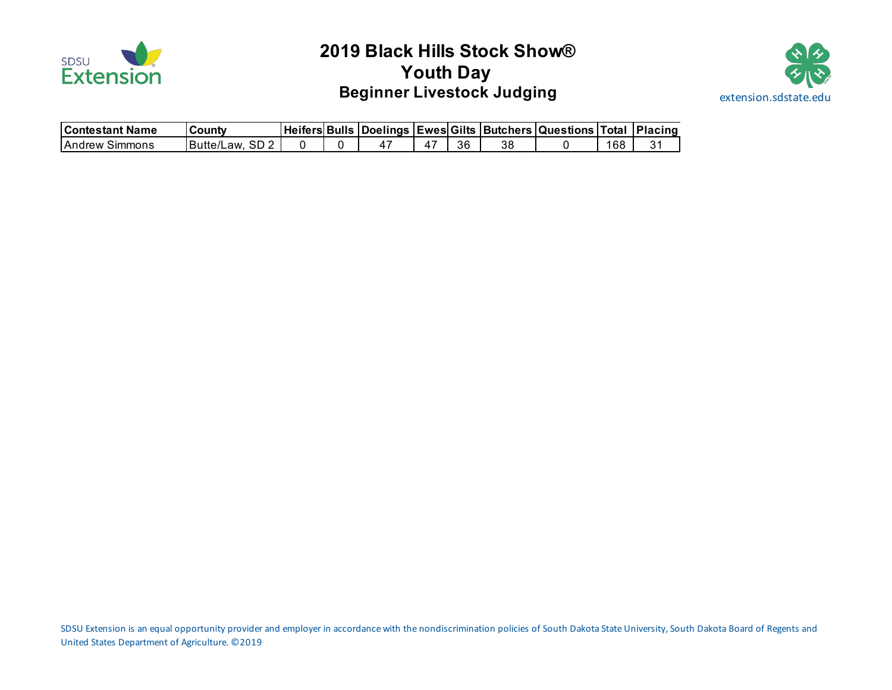

# **2019 Black Hills Stock Show® Youth Day Beginner Livestock Judging and Service Service Service Service Service Service Service Service Service Service Service Service Service Service Service Service Service Service Service Service Service Service Service Servic**



| <b>IContestant Name</b> | County                  |  |  |    |    | Heifers Bulls Doelings Ewes Gilts Butchers Questions Total Placing |     |  |
|-------------------------|-------------------------|--|--|----|----|--------------------------------------------------------------------|-----|--|
| <b>IAndrew Simmons</b>  | <b>IButte/Law. SD 2</b> |  |  | 36 | 38 |                                                                    | 168 |  |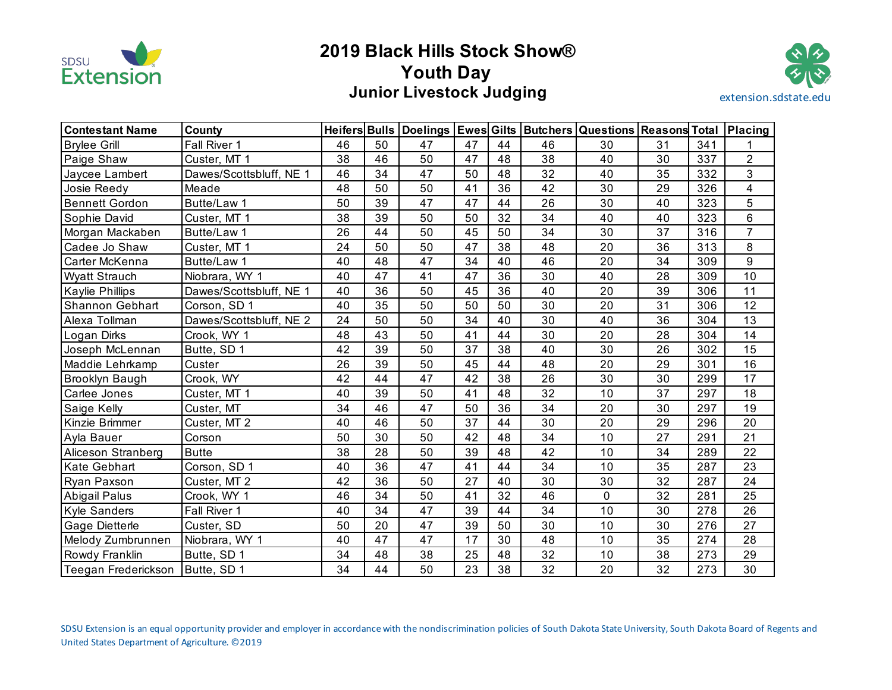

# **2019 Black Hills Stock Show® Youth Day Junior Livestock Judging**  extension.sdstate.edu



| <b>Contestant Name</b> | County                  |    |    | <b>Heifers Bulls Doelings</b> |    |    |    | <b>Ewes Gilts Butchers Questions Reasons Total</b> |    |     | Placing        |
|------------------------|-------------------------|----|----|-------------------------------|----|----|----|----------------------------------------------------|----|-----|----------------|
| <b>Brylee Grill</b>    | Fall River 1            | 46 | 50 | 47                            | 47 | 44 | 46 | 30                                                 | 31 | 341 |                |
| Paige Shaw             | Custer, MT 1            | 38 | 46 | 50                            | 47 | 48 | 38 | 40                                                 | 30 | 337 | $\overline{2}$ |
| Jaycee Lambert         | Dawes/Scottsbluff, NE 1 | 46 | 34 | 47                            | 50 | 48 | 32 | 40                                                 | 35 | 332 | $\overline{3}$ |
| Josie Reedy            | Meade                   | 48 | 50 | 50                            | 41 | 36 | 42 | 30                                                 | 29 | 326 | 4              |
| <b>Bennett Gordon</b>  | Butte/Law 1             | 50 | 39 | 47                            | 47 | 44 | 26 | 30                                                 | 40 | 323 | 5              |
| Sophie David           | Custer, MT 1            | 38 | 39 | 50                            | 50 | 32 | 34 | 40                                                 | 40 | 323 | 6              |
| Morgan Mackaben        | Butte/Law 1             | 26 | 44 | 50                            | 45 | 50 | 34 | 30                                                 | 37 | 316 | $\overline{7}$ |
| Cadee Jo Shaw          | Custer, MT 1            | 24 | 50 | 50                            | 47 | 38 | 48 | 20                                                 | 36 | 313 | 8              |
| Carter McKenna         | Butte/Law 1             | 40 | 48 | 47                            | 34 | 40 | 46 | 20                                                 | 34 | 309 | 9              |
| <b>Wyatt Strauch</b>   | Niobrara, WY 1          | 40 | 47 | 41                            | 47 | 36 | 30 | 40                                                 | 28 | 309 | 10             |
| <b>Kaylie Phillips</b> | Dawes/Scottsbluff, NE 1 | 40 | 36 | 50                            | 45 | 36 | 40 | 20                                                 | 39 | 306 | 11             |
| Shannon Gebhart        | Corson, SD 1            | 40 | 35 | 50                            | 50 | 50 | 30 | 20                                                 | 31 | 306 | 12             |
| Alexa Tollman          | Dawes/Scottsbluff, NE 2 | 24 | 50 | 50                            | 34 | 40 | 30 | 40                                                 | 36 | 304 | 13             |
| Logan Dirks            | Crook, WY 1             | 48 | 43 | 50                            | 41 | 44 | 30 | 20                                                 | 28 | 304 | 14             |
| Joseph McLennan        | Butte, SD 1             | 42 | 39 | 50                            | 37 | 38 | 40 | 30                                                 | 26 | 302 | 15             |
| Maddie Lehrkamp        | Custer                  | 26 | 39 | 50                            | 45 | 44 | 48 | 20                                                 | 29 | 301 | 16             |
| <b>Brooklyn Baugh</b>  | Crook, WY               | 42 | 44 | 47                            | 42 | 38 | 26 | 30                                                 | 30 | 299 | 17             |
| Carlee Jones           | Custer, MT 1            | 40 | 39 | 50                            | 41 | 48 | 32 | 10                                                 | 37 | 297 | 18             |
| Saige Kelly            | Custer, MT              | 34 | 46 | 47                            | 50 | 36 | 34 | 20                                                 | 30 | 297 | 19             |
| Kinzie Brimmer         | Custer, MT 2            | 40 | 46 | 50                            | 37 | 44 | 30 | 20                                                 | 29 | 296 | 20             |
| Ayla Bauer             | Corson                  | 50 | 30 | 50                            | 42 | 48 | 34 | 10                                                 | 27 | 291 | 21             |
| Aliceson Stranberg     | <b>Butte</b>            | 38 | 28 | 50                            | 39 | 48 | 42 | 10                                                 | 34 | 289 | 22             |
| <b>Kate Gebhart</b>    | Corson, SD 1            | 40 | 36 | 47                            | 41 | 44 | 34 | 10                                                 | 35 | 287 | 23             |
| Ryan Paxson            | Custer, MT 2            | 42 | 36 | 50                            | 27 | 40 | 30 | 30                                                 | 32 | 287 | 24             |
| Abigail Palus          | Crook, WY 1             | 46 | 34 | 50                            | 41 | 32 | 46 | 0                                                  | 32 | 281 | 25             |
| <b>Kyle Sanders</b>    | Fall River 1            | 40 | 34 | 47                            | 39 | 44 | 34 | 10                                                 | 30 | 278 | 26             |
| Gage Dietterle         | Custer, SD              | 50 | 20 | 47                            | 39 | 50 | 30 | 10                                                 | 30 | 276 | 27             |
| Melody Zumbrunnen      | Niobrara, WY 1          | 40 | 47 | 47                            | 17 | 30 | 48 | 10                                                 | 35 | 274 | 28             |
| Rowdy Franklin         | Butte, SD 1             | 34 | 48 | 38                            | 25 | 48 | 32 | 10                                                 | 38 | 273 | 29             |
| Teegan Frederickson    | Butte, SD 1             | 34 | 44 | 50                            | 23 | 38 | 32 | 20                                                 | 32 | 273 | 30             |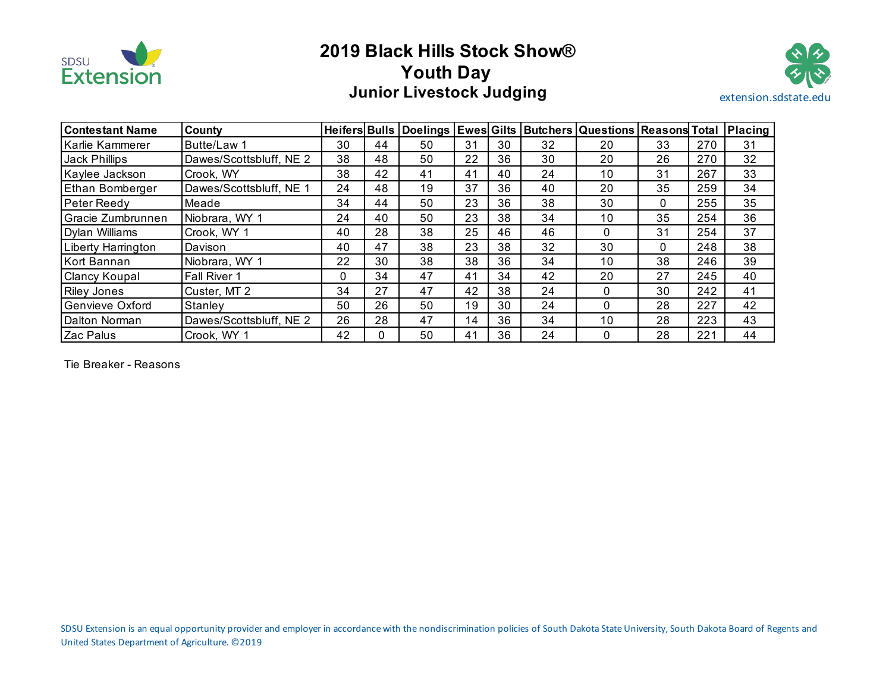

# **2019 Black Hills Stock Show® Youth Day Junior Livestock Judging**  extension.sdstate.edu



| <b>Contestant Name</b> | County                  | <b>Heifers Bulls</b> |          |    |    |    |    | Doelings Ewes Gilts Butchers Questions Reasons Total |    |     | Placing |
|------------------------|-------------------------|----------------------|----------|----|----|----|----|------------------------------------------------------|----|-----|---------|
| Karlie Kammerer        | Butte/Law 1             | 30                   | 44       | 50 | 31 | 30 | 32 | 20                                                   | 33 | 270 | 31      |
| Jack Phillips          | Dawes/Scottsbluff, NE 2 | 38                   | 48       | 50 | 22 | 36 | 30 | 20                                                   | 26 | 270 | 32      |
| Kaylee Jackson         | Crook, WY               | 38                   | 42       | 41 | 41 | 40 | 24 | 10                                                   | 31 | 267 | 33      |
| <b>Ethan Bomberger</b> | Dawes/Scottsbluff, NE 1 | 24                   | 48       | 19 | 37 | 36 | 40 | 20                                                   | 35 | 259 | 34      |
| Peter Reedy            | Meade                   | 34                   | 44       | 50 | 23 | 36 | 38 | 30                                                   | 0  | 255 | 35      |
| Gracie Zumbrunnen      | Niobrara, WY 1          | 24                   | 40       | 50 | 23 | 38 | 34 | 10                                                   | 35 | 254 | 36      |
| Dylan Williams         | Crook, WY 1             | 40                   | 28       | 38 | 25 | 46 | 46 |                                                      | 31 | 254 | 37      |
| Liberty Harrington     | Davison                 | 40                   | 47       | 38 | 23 | 38 | 32 | 30                                                   | 0  | 248 | 38      |
| Kort Bannan            | Niobrara, WY 1          | 22                   | 30       | 38 | 38 | 36 | 34 | 10                                                   | 38 | 246 | 39      |
| <b>Clancy Koupal</b>   | Fall River 1            | $\Omega$             | 34       | 47 | 41 | 34 | 42 | 20                                                   | 27 | 245 | 40      |
| <b>Riley Jones</b>     | Custer, MT 2            | 34                   | 27       | 47 | 42 | 38 | 24 | 0                                                    | 30 | 242 | 41      |
| Genvieve Oxford        | Stanley                 | 50                   | 26       | 50 | 19 | 30 | 24 | 0                                                    | 28 | 227 | 42      |
| Dalton Norman          | Dawes/Scottsbluff, NE 2 | 26                   | 28       | 47 | 14 | 36 | 34 | 10                                                   | 28 | 223 | 43      |
| Zac Palus              | Crook, WY 1             | 42                   | $\Omega$ | 50 | 41 | 36 | 24 |                                                      | 28 | 221 | 44      |

Tie Breaker - Reasons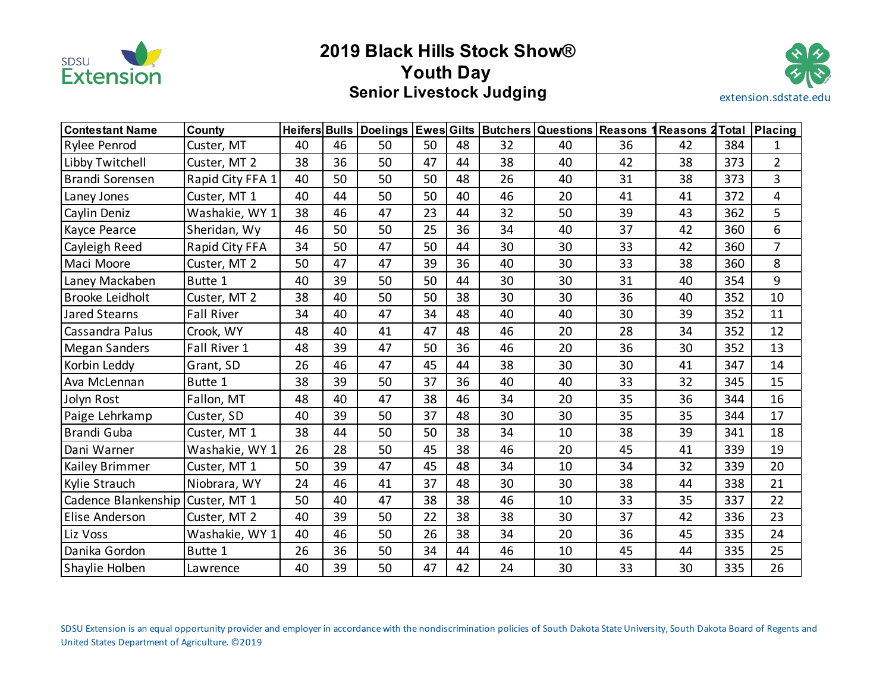

# **2019 Black Hills Stock Show® Youth Day Senior Livestock Judging**  extension.sdstate.edu



| <b>Contestant Name</b> | County            | Heifers Bulls |    | Doelings   Ewes Gilts |    |    |    | <b>Butchers Questions Reasons</b> |    | 1 Reasons 2 | <b>Total</b> | <b>Placing</b> |
|------------------------|-------------------|---------------|----|-----------------------|----|----|----|-----------------------------------|----|-------------|--------------|----------------|
| <b>Rylee Penrod</b>    | Custer, MT        | 40            | 46 | 50                    | 50 | 48 | 32 | 40                                | 36 | 42          | 384          | 1              |
| Libby Twitchell        | Custer, MT 2      | 38            | 36 | 50                    | 47 | 44 | 38 | 40                                | 42 | 38          | 373          | $\overline{2}$ |
| Brandi Sorensen        | Rapid City FFA 1  | 40            | 50 | 50                    | 50 | 48 | 26 | 40                                | 31 | 38          | 373          | 3              |
| Laney Jones            | Custer, MT 1      | 40            | 44 | 50                    | 50 | 40 | 46 | 20                                | 41 | 41          | 372          | 4              |
| Caylin Deniz           | Washakie, WY 1    | 38            | 46 | 47                    | 23 | 44 | 32 | 50                                | 39 | 43          | 362          | 5              |
| Kayce Pearce           | Sheridan, Wy      | 46            | 50 | 50                    | 25 | 36 | 34 | 40                                | 37 | 42          | 360          | 6              |
| Cayleigh Reed          | Rapid City FFA    | 34            | 50 | 47                    | 50 | 44 | 30 | 30                                | 33 | 42          | 360          | $\overline{7}$ |
| Maci Moore             | Custer, MT 2      | 50            | 47 | 47                    | 39 | 36 | 40 | 30                                | 33 | 38          | 360          | 8              |
| Laney Mackaben         | Butte 1           | 40            | 39 | 50                    | 50 | 44 | 30 | 30                                | 31 | 40          | 354          | 9              |
| Brooke Leidholt        | Custer, MT 2      | 38            | 40 | 50                    | 50 | 38 | 30 | 30                                | 36 | 40          | 352          | 10             |
| Jared Stearns          | <b>Fall River</b> | 34            | 40 | 47                    | 34 | 48 | 40 | 40                                | 30 | 39          | 352          | 11             |
| Cassandra Palus        | Crook, WY         | 48            | 40 | 41                    | 47 | 48 | 46 | 20                                | 28 | 34          | 352          | 12             |
| <b>Megan Sanders</b>   | Fall River 1      | 48            | 39 | 47                    | 50 | 36 | 46 | 20                                | 36 | 30          | 352          | 13             |
| Korbin Leddy           | Grant, SD         | 26            | 46 | 47                    | 45 | 44 | 38 | 30                                | 30 | 41          | 347          | 14             |
| Ava McLennan           | Butte 1           | 38            | 39 | 50                    | 37 | 36 | 40 | 40                                | 33 | 32          | 345          | 15             |
| Jolyn Rost             | Fallon, MT        | 48            | 40 | 47                    | 38 | 46 | 34 | 20                                | 35 | 36          | 344          | 16             |
| Paige Lehrkamp         | Custer, SD        | 40            | 39 | 50                    | 37 | 48 | 30 | 30                                | 35 | 35          | 344          | 17             |
| Brandi Guba            | Custer, MT 1      | 38            | 44 | 50                    | 50 | 38 | 34 | 10                                | 38 | 39          | 341          | 18             |
| Dani Warner            | Washakie, WY 1    | 26            | 28 | 50                    | 45 | 38 | 46 | 20                                | 45 | 41          | 339          | 19             |
| Kailey Brimmer         | Custer, MT 1      | 50            | 39 | 47                    | 45 | 48 | 34 | 10                                | 34 | 32          | 339          | 20             |
| <b>Kylie Strauch</b>   | Niobrara, WY      | 24            | 46 | 41                    | 37 | 48 | 30 | 30                                | 38 | 44          | 338          | 21             |
| Cadence Blankenship    | Custer, MT 1      | 50            | 40 | 47                    | 38 | 38 | 46 | 10                                | 33 | 35          | 337          | 22             |
| Elise Anderson         | Custer, MT 2      | 40            | 39 | 50                    | 22 | 38 | 38 | 30                                | 37 | 42          | 336          | 23             |
| Liz Voss               | Washakie, WY 1    | 40            | 46 | 50                    | 26 | 38 | 34 | 20                                | 36 | 45          | 335          | 24             |
| Danika Gordon          | Butte 1           | 26            | 36 | 50                    | 34 | 44 | 46 | 10                                | 45 | 44          | 335          | 25             |
| Shaylie Holben         | Lawrence          | 40            | 39 | 50                    | 47 | 42 | 24 | 30                                | 33 | 30          | 335          | 26             |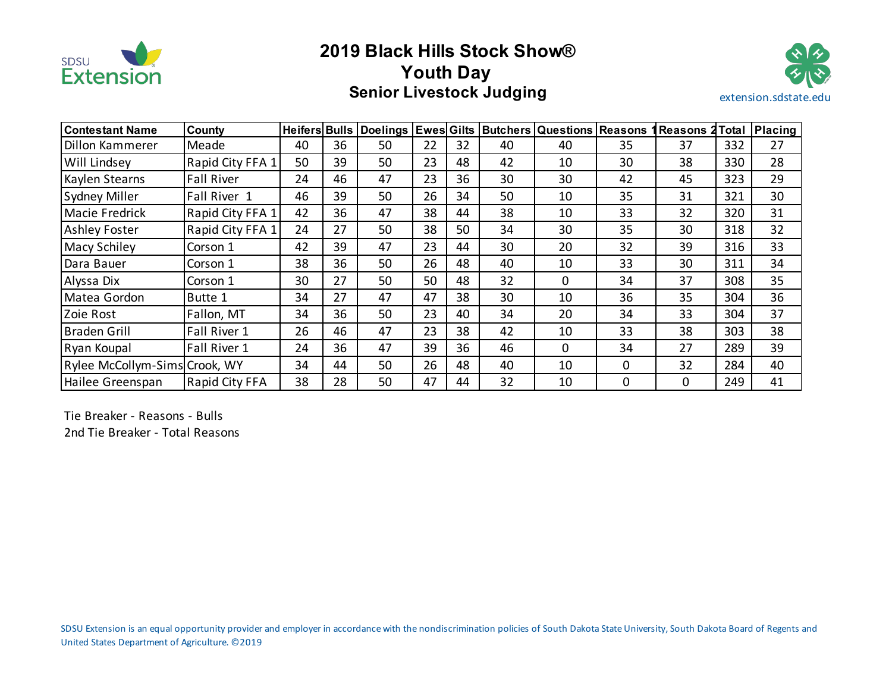

# **2019 Black Hills Stock Show® Youth Day Senior Livestock Judging**  extension.sdstate.edu



| l Contestant Name             | County                |    |    |    |    |    |    | Heifers Bulls   Doelings   Ewes Gilts   Butchers   Questions   Reasons |             | 1 Reasons 2 | Total | <b>Placing</b> |
|-------------------------------|-----------------------|----|----|----|----|----|----|------------------------------------------------------------------------|-------------|-------------|-------|----------------|
| Dillon Kammerer               | Meade                 | 40 | 36 | 50 | 22 | 32 | 40 | 40                                                                     | 35          | 37          | 332   | 27             |
| <b>Will Lindsey</b>           | Rapid City FFA 1      | 50 | 39 | 50 | 23 | 48 | 42 | 10                                                                     | 30          | 38          | 330   | 28             |
| Kaylen Stearns                | <b>Fall River</b>     | 24 | 46 | 47 | 23 | 36 | 30 | 30                                                                     | 42          | 45          | 323   | 29             |
| Sydney Miller                 | Fall River 1          | 46 | 39 | 50 | 26 | 34 | 50 | 10                                                                     | 35          | 31          | 321   | 30             |
| Macie Fredrick                | Rapid City FFA 1      | 42 | 36 | 47 | 38 | 44 | 38 | 10                                                                     | 33          | 32          | 320   | 31             |
| <b>Ashley Foster</b>          | Rapid City FFA 1      | 24 | 27 | 50 | 38 | 50 | 34 | 30                                                                     | 35          | 30          | 318   | 32             |
| <b>Macy Schiley</b>           | Corson 1              | 42 | 39 | 47 | 23 | 44 | 30 | 20                                                                     | 32          | 39          | 316   | 33             |
| Dara Bauer                    | Corson 1              | 38 | 36 | 50 | 26 | 48 | 40 | 10                                                                     | 33          | 30          | 311   | 34             |
| Alyssa Dix                    | Corson 1              | 30 | 27 | 50 | 50 | 48 | 32 | $\mathbf 0$                                                            | 34          | 37          | 308   | 35             |
| Matea Gordon                  | Butte 1               | 34 | 27 | 47 | 47 | 38 | 30 | 10                                                                     | 36          | 35          | 304   | 36             |
| Zoie Rost                     | Fallon, MT            | 34 | 36 | 50 | 23 | 40 | 34 | 20                                                                     | 34          | 33          | 304   | 37             |
| <b>Braden Grill</b>           | Fall River 1          | 26 | 46 | 47 | 23 | 38 | 42 | 10                                                                     | 33          | 38          | 303   | 38             |
| Ryan Koupal                   | Fall River 1          | 24 | 36 | 47 | 39 | 36 | 46 | $\Omega$                                                               | 34          | 27          | 289   | 39             |
| Rylee McCollym-Sims Crook, WY |                       | 34 | 44 | 50 | 26 | 48 | 40 | 10                                                                     | $\mathbf 0$ | 32          | 284   | 40             |
| Hailee Greenspan              | <b>Rapid City FFA</b> | 38 | 28 | 50 | 47 | 44 | 32 | 10                                                                     | 0           | 0           | 249   | 41             |

Tie Breaker - Reasons - Bulls 2nd Tie Breaker - Total Reasons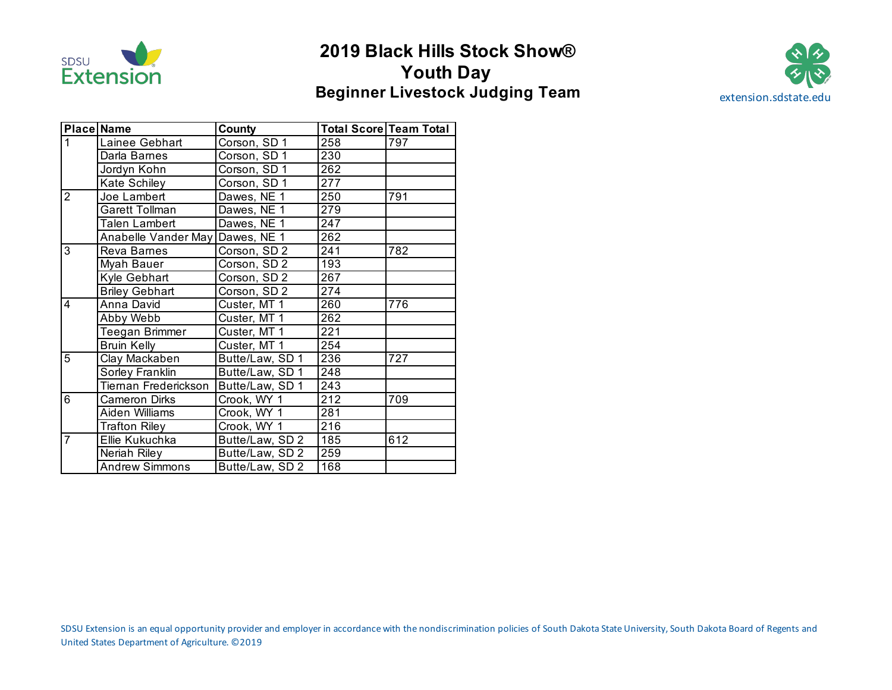

# **2019 Black Hills Stock Show® Youth Day Beginner Livestock Judging Team** extension.sdstate.edu



|                | Place Name                      | County          |                  | <b>Total Score Team Total</b> |
|----------------|---------------------------------|-----------------|------------------|-------------------------------|
| 1              | Lainee Gebhart                  | Corson, SD 1    | 258              | 797                           |
|                | Darla Barnes                    | Corson, SD 1    | 230              |                               |
|                | Jordyn Kohn                     | Corson, SD 1    | 262              |                               |
|                | Kate Schiley                    | Corson, SD 1    | 277              |                               |
| $\overline{2}$ | Joe Lambert                     | Dawes, NE 1     | 250              | 791                           |
|                | <b>Garett Tollman</b>           | Dawes, NE 1     | 279              |                               |
|                | <b>Talen Lambert</b>            | Dawes, NE 1     | 247              |                               |
|                | Anabelle Vander May Dawes, NE 1 |                 | 262              |                               |
| 3              | Reva Barnes                     | Corson, SD 2    | 241              | 782                           |
|                | Myah Bauer                      | Corson, SD 2    | 193              |                               |
|                | Kyle Gebhart                    | Corson, SD 2    | 267              |                               |
|                | <b>Briley Gebhart</b>           | Corson, SD 2    | 274              |                               |
| 4              | Anna David                      | Custer, MT 1    | 260              | 776                           |
|                | Abby Webb                       | Custer, MT 1    | 262              |                               |
|                | Teegan Brimmer                  | Custer, MT 1    | 221              |                               |
|                | <b>Bruin Kelly</b>              | Custer, MT 1    | 254              |                               |
| 5              | Clay Mackaben                   | Butte/Law, SD 1 | 236              | 727                           |
|                | Sorley Franklin                 | Butte/Law, SD 1 | 248              |                               |
|                | Tiernan Frederickson            | Butte/Law, SD 1 | 243              |                               |
| $\overline{6}$ | Cameron Dirks                   | Crook, WY 1     | $\overline{212}$ | 709                           |
|                | Aiden Williams                  | Crook, WY 1     | 281              |                               |
|                | <b>Trafton Riley</b>            | Crook, WY 1     | 216              |                               |
| $\overline{7}$ | Ellie Kukuchka                  | Butte/Law, SD 2 | 185              | 612                           |
|                | Neriah Riley                    | Butte/Law, SD 2 | 259              |                               |
|                | <b>Andrew Simmons</b>           | Butte/Law, SD 2 | 168              |                               |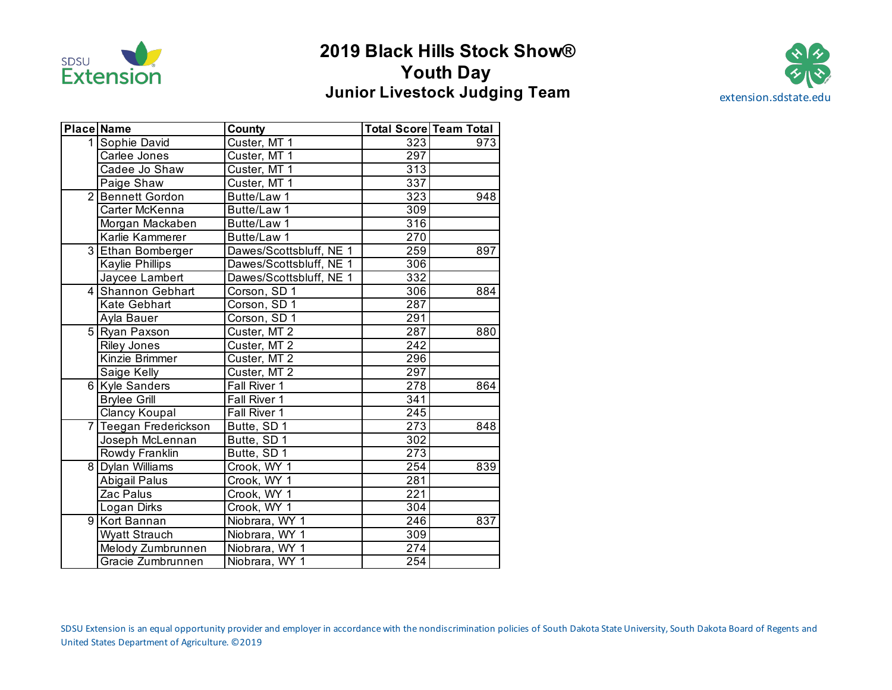

# **2019 Black Hills Stock Show® Youth Day Junior Livestock Judging Team** extension.sdstate.edu



|   | <b>Place Name</b>   | County                  |                  | Total Score Team Total |
|---|---------------------|-------------------------|------------------|------------------------|
|   | 1 Sophie David      | Custer, MT 1            | 323              | 973                    |
|   | Carlee Jones        | Custer, MT 1            | 297              |                        |
|   | Cadee Jo Shaw       | Custer, MT 1            | 313              |                        |
|   | Paige Shaw          | Custer, MT 1            | 337              |                        |
|   | 2 Bennett Gordon    | Butte/Law 1             | 323              | 948                    |
|   | Carter McKenna      | Butte/Law 1             | 309              |                        |
|   | Morgan Mackaben     | Butte/Law 1             | 316              |                        |
|   | Karlie Kammerer     | Butte/Law 1             | 270              |                        |
|   | 3 Ethan Bomberger   | Dawes/Scottsbluff, NE 1 | 259              | 897                    |
|   | Kaylie Phillips     | Dawes/Scottsbluff, NE 1 | 306              |                        |
|   | Jaycee Lambert      | Dawes/Scottsbluff, NE 1 | 332              |                        |
|   | 4 Shannon Gebhart   | Corson, SD 1            | 306              | 884                    |
|   | Kate Gebhart        | Corson, SD 1            | 287              |                        |
|   | Ayla Bauer          | Corson, SD 1            | 291              |                        |
|   | 5 Ryan Paxson       | Custer, MT 2            | 287              | 880                    |
|   | <b>Riley Jones</b>  | Custer, MT 2            | 242              |                        |
|   | Kinzie Brimmer      | Custer, MT 2            | 296              |                        |
|   | Saige Kelly         | Custer, MT 2            | 297              |                        |
|   | 6 Kyle Sanders      | Fall River 1            | 278              | 864                    |
|   | <b>Brylee Grill</b> | Fall River 1            | 341              |                        |
|   | Clancy Koupal       | Fall River 1            | 245              |                        |
| 7 | Teegan Frederickson | Butte, SD 1             | 273              | 848                    |
|   | Joseph McLennan     | Butte, SD 1             | 302              |                        |
|   | Rowdy Franklin      | Butte, SD 1             | $\overline{273}$ |                        |
|   | 8 Dylan Williams    | Crook, WY 1             | 254              | 839                    |
|   | Abigail Palus       | Crook, WY 1             | 281              |                        |
|   | Zac Palus           | Crook, WY 1             | 221              |                        |
|   | Logan Dirks         | Crook, WY 1             | 304              |                        |
| 9 | Kort Bannan         | Niobrara, WY 1          | 246              | 837                    |
|   | Wyatt Strauch       | Niobrara, WY 1          | 309              |                        |
|   | Melody Zumbrunnen   | Niobrara, WY 1          | $\overline{274}$ |                        |
|   | Gracie Zumbrunnen   | Niobrara, WY 1          | 254              |                        |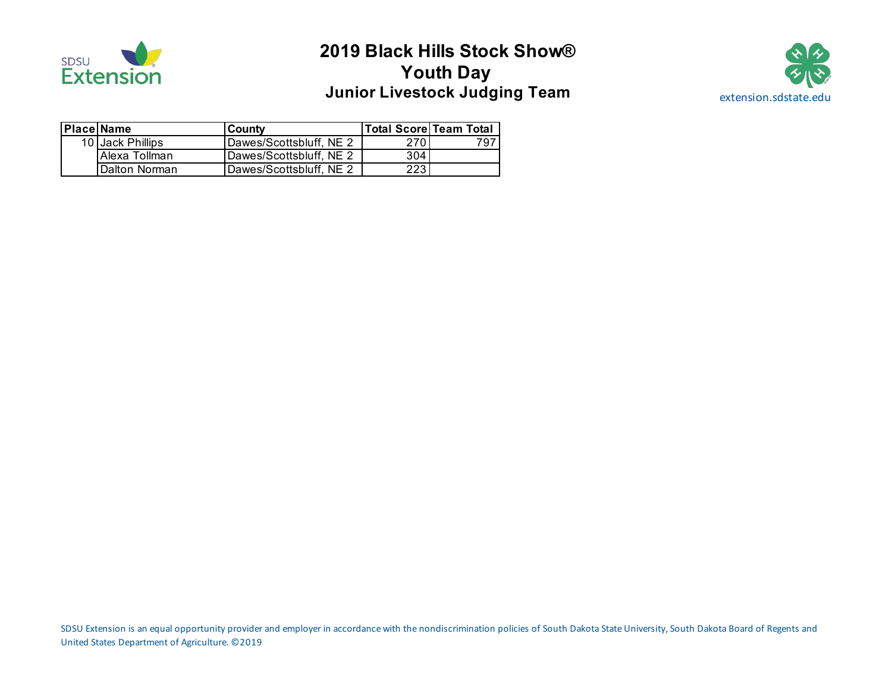

# **2019 Black Hills Stock Show® Youth Day Junior Livestock Judging Team Manuel Accord Extension.sdstate.edu**



| <b>Place Name</b> | <b>County</b>           | <b>Total Score Team Total</b> |     |
|-------------------|-------------------------|-------------------------------|-----|
| 10 Jack Phillips  | Dawes/Scottsbluff, NE 2 | 270 I                         | 797 |
| Alexa Tollman     | Dawes/Scottsbluff, NE 2 | 304                           |     |
| Dalton Norman     | Dawes/Scottsbluff, NE 2 | 223.                          |     |